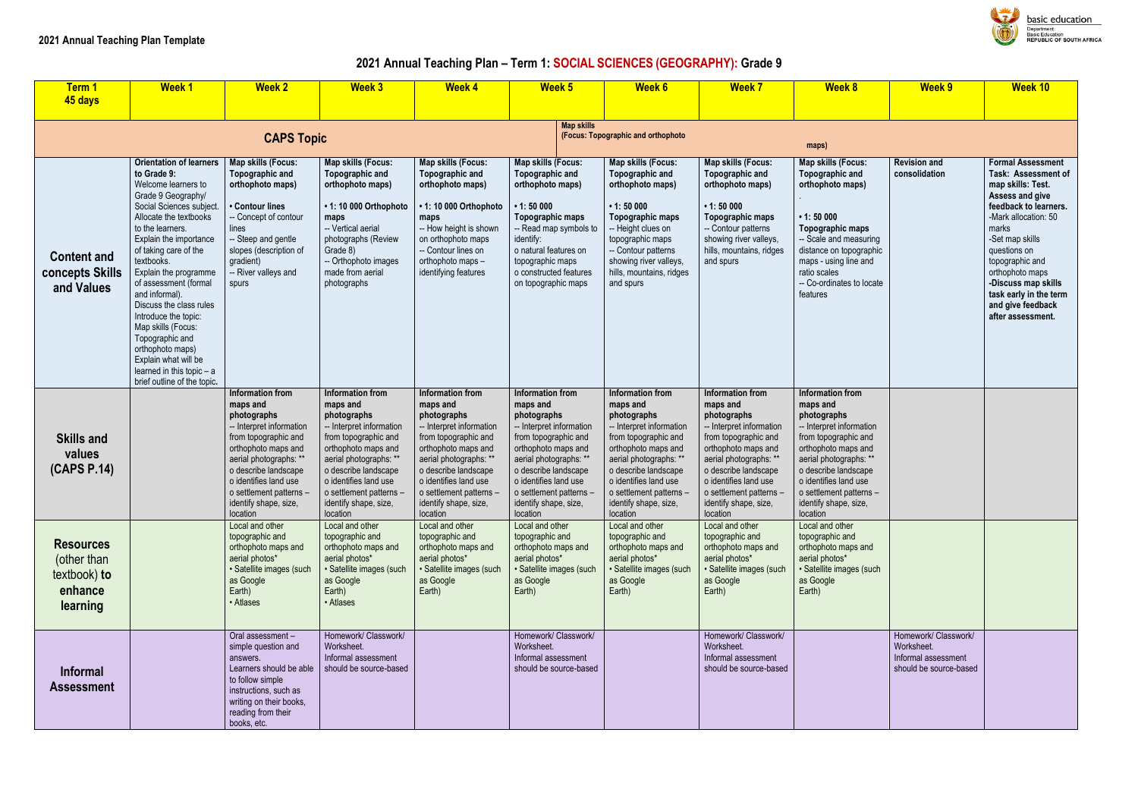# **2021 Annual Teaching Plan – Term 1: SOCIAL SCIENCES (GEOGRAPHY): Grade 9**

| Term 1                                                                 | <b>Week1</b>                                                                                                                                                                                                                                                                                                                                                                                                                                                                                             | <b>Week 2</b>                                                                                                                                                                                                                                                     | <b>Week 3</b>                                                                                                                                                                                                                                                     | <b>Week 4</b>                                                                                                                                                                                                                                                            | Week <sub>5</sub>                                                                                                                                                                                                                                                 | <b>Week 6</b>                                                                                                                                                                                                                                                     | <b>Week 7</b>                                                                                                                                                                                                                                                     | <b>Week 8</b>                                                                                                                                                                                                                                                     | <b>Week 9</b>                                                                       | <b>Week 10</b>                                                                                                                                                                                                                                                                                                        |
|------------------------------------------------------------------------|----------------------------------------------------------------------------------------------------------------------------------------------------------------------------------------------------------------------------------------------------------------------------------------------------------------------------------------------------------------------------------------------------------------------------------------------------------------------------------------------------------|-------------------------------------------------------------------------------------------------------------------------------------------------------------------------------------------------------------------------------------------------------------------|-------------------------------------------------------------------------------------------------------------------------------------------------------------------------------------------------------------------------------------------------------------------|--------------------------------------------------------------------------------------------------------------------------------------------------------------------------------------------------------------------------------------------------------------------------|-------------------------------------------------------------------------------------------------------------------------------------------------------------------------------------------------------------------------------------------------------------------|-------------------------------------------------------------------------------------------------------------------------------------------------------------------------------------------------------------------------------------------------------------------|-------------------------------------------------------------------------------------------------------------------------------------------------------------------------------------------------------------------------------------------------------------------|-------------------------------------------------------------------------------------------------------------------------------------------------------------------------------------------------------------------------------------------------------------------|-------------------------------------------------------------------------------------|-----------------------------------------------------------------------------------------------------------------------------------------------------------------------------------------------------------------------------------------------------------------------------------------------------------------------|
| 45 days                                                                |                                                                                                                                                                                                                                                                                                                                                                                                                                                                                                          |                                                                                                                                                                                                                                                                   |                                                                                                                                                                                                                                                                   |                                                                                                                                                                                                                                                                          |                                                                                                                                                                                                                                                                   |                                                                                                                                                                                                                                                                   |                                                                                                                                                                                                                                                                   |                                                                                                                                                                                                                                                                   |                                                                                     |                                                                                                                                                                                                                                                                                                                       |
|                                                                        |                                                                                                                                                                                                                                                                                                                                                                                                                                                                                                          | <b>CAPS Topic</b>                                                                                                                                                                                                                                                 |                                                                                                                                                                                                                                                                   |                                                                                                                                                                                                                                                                          | <b>Map skills</b>                                                                                                                                                                                                                                                 | (Focus: Topographic and orthophoto                                                                                                                                                                                                                                |                                                                                                                                                                                                                                                                   | maps)                                                                                                                                                                                                                                                             |                                                                                     |                                                                                                                                                                                                                                                                                                                       |
| <b>Content and</b><br><b>concepts Skills</b><br>and Values             | Orientation of learners<br>to Grade 9:<br>Welcome learners to<br>Grade 9 Geography/<br>Social Sciences subject.<br>Allocate the textbooks<br>to the learners.<br>Explain the importance<br>of taking care of the<br>textbooks.<br>Explain the programme<br>of assessment (formal<br>and informal).<br>Discuss the class rules<br>Introduce the topic:<br>Map skills (Focus:<br>Topographic and<br>orthophoto maps)<br>Explain what will be<br>learned in this topic $- a$<br>brief outline of the topic. | Map skills (Focus:<br>Topographic and<br>orthophoto maps)<br>• Contour lines<br>-- Concept of contour<br>lines<br>-- Steep and gentle<br>slopes (description of<br>gradient)<br>-- River valleys and<br>spurs                                                     | <b>Map skills (Focus:</b><br>Topographic and<br>orthophoto maps)<br>• 1: 10 000 Orthophoto<br>maps<br>-- Vertical aerial<br>photographs (Review<br>Grade 8)<br>-- Orthophoto images<br>made from aerial<br>photographs                                            | Map skills (Focus:<br><b>Topographic and</b><br>orthophoto maps)<br>• 1: 10 000 Orthophoto<br>maps<br>-- How height is shown<br>on orthophoto maps<br>-- Contour lines on<br>orthophoto maps -<br>identifying features                                                   | <b>Map skills (Focus:</b><br>Topographic and<br>orthophoto maps)<br>$\cdot$ 1:50 000<br>Topographic maps<br>-- Read map symbols to<br>identify:<br>o natural features on<br>topographic maps<br>o constructed features<br>on topographic maps                     | <b>Map skills (Focus:</b><br>Topographic and<br>orthophoto maps)<br>$\cdot$ 1:50 000<br>Topographic maps<br>- Height clues on<br>topographic maps<br>-- Contour patterns<br>showing river valleys,<br>hills, mountains, ridges<br>and spurs                       | <b>Map skills (Focus:</b><br>Topographic and<br>orthophoto maps)<br>$\cdot$ 1:50 000<br>Topographic maps<br>-- Contour patterns<br>showing river valleys,<br>hills, mountains, ridges<br>and spurs                                                                | Map skills (Focus:<br>Topographic and<br>orthophoto maps)<br>$\cdot$ 1:50 000<br><b>Topographic maps</b><br>-- Scale and measuring<br>distance on topographic<br>maps - using line and<br>ratio scales<br>-- Co-ordinates to locate<br>features                   | <b>Revision and</b><br>consolidation                                                | <b>Formal Assessment</b><br>Task: Assessment of<br>map skills: Test.<br>Assess and give<br>feedback to learners.<br>-Mark allocation: 50<br>marks<br>-Set map skills<br>questions on<br>topographic and<br>orthophoto maps<br>-Discuss map skills<br>task early in the term<br>and give feedback<br>after assessment. |
| <b>Skills and</b><br>values<br>(CAPS P.14)                             |                                                                                                                                                                                                                                                                                                                                                                                                                                                                                                          | Information from<br>maps and<br>photographs<br>-- Interpret information<br>from topographic and<br>orthophoto maps and<br>aerial photographs: **<br>o describe landscape<br>o identifies land use<br>o settlement patterns -<br>identify shape, size,<br>location | Information from<br>maps and<br>photographs<br>-- Interpret information<br>from topographic and<br>orthophoto maps and<br>aerial photographs: **<br>o describe landscape<br>o identifies land use<br>o settlement patterns -<br>identify shape, size,<br>location | <b>Information from</b><br>maps and<br>photographs<br>-- Interpret information<br>from topographic and<br>orthophoto maps and<br>aerial photographs: **<br>o describe landscape<br>o identifies land use<br>o settlement patterns -<br>identify shape, size,<br>location | Information from<br>maps and<br>photographs<br>-- Interpret information<br>from topographic and<br>orthophoto maps and<br>aerial photographs: **<br>o describe landscape<br>o identifies land use<br>o settlement patterns -<br>identify shape, size,<br>location | Information from<br>maps and<br>photographs<br>-- Interpret information<br>from topographic and<br>orthophoto maps and<br>aerial photographs: **<br>o describe landscape<br>o identifies land use<br>o settlement patterns -<br>identify shape, size,<br>location | Information from<br>maps and<br>photographs<br>-- Interpret information<br>from topographic and<br>orthophoto maps and<br>aerial photographs: **<br>o describe landscape<br>o identifies land use<br>o settlement patterns -<br>identify shape, size,<br>location | Information from<br>maps and<br>photographs<br>-- Interpret information<br>from topographic and<br>orthophoto maps and<br>aerial photographs: **<br>o describe landscape<br>o identifies land use<br>o settlement patterns -<br>identify shape, size,<br>location |                                                                                     |                                                                                                                                                                                                                                                                                                                       |
| <b>Resources</b><br>(other than<br>textbook) to<br>enhance<br>learning |                                                                                                                                                                                                                                                                                                                                                                                                                                                                                                          | Local and other<br>topographic and<br>orthophoto maps and<br>aerial photos*<br>· Satellite images (such<br>as Google<br>Earth)<br>• Atlases                                                                                                                       | Local and other<br>topographic and<br>orthophoto maps and<br>aerial photos*<br>· Satellite images (such<br>as Google<br>Earth)<br>• Atlases                                                                                                                       | Local and other<br>topographic and<br>orthophoto maps and<br>aerial photos*<br>· Satellite images (such<br>as Google<br>Earth)                                                                                                                                           | Local and other<br>topographic and<br>orthophoto maps and<br>aerial photos*<br>· Satellite images (such<br>as Google<br>Earth)                                                                                                                                    | Local and other<br>topographic and<br>orthophoto maps and<br>aerial photos*<br>· Satellite images (such<br>as Google<br>Earth)                                                                                                                                    | Local and other<br>topographic and<br>orthophoto maps and<br>aerial photos*<br>· Satellite images (such<br>as Google<br>Earth)                                                                                                                                    | Local and other<br>topographic and<br>orthophoto maps and<br>aerial photos*<br>· Satellite images (such<br>as Google<br>Earth)                                                                                                                                    |                                                                                     |                                                                                                                                                                                                                                                                                                                       |
| <b>Informal</b><br><b>Assessment</b>                                   |                                                                                                                                                                                                                                                                                                                                                                                                                                                                                                          | Oral assessment -<br>simple question and<br>answers.<br>Learners should be able<br>to follow simple<br>instructions, such as<br>writing on their books,<br>reading from their<br>books, etc.                                                                      | Homework/ Classwork/<br>Worksheet.<br>Informal assessment<br>should be source-based                                                                                                                                                                               |                                                                                                                                                                                                                                                                          | Homework/ Classwork/<br>Worksheet.<br>Informal assessment<br>should be source-based                                                                                                                                                                               |                                                                                                                                                                                                                                                                   | Homework/ Classwork/<br>Worksheet.<br>Informal assessment<br>should be source-based                                                                                                                                                                               |                                                                                                                                                                                                                                                                   | Homework/ Classwork/<br>Worksheet.<br>Informal assessment<br>should be source-based |                                                                                                                                                                                                                                                                                                                       |



**Dasic education** Department:<br>Department:<br>Basic Education<br>REPUBLIC OF SOUTH AFRICA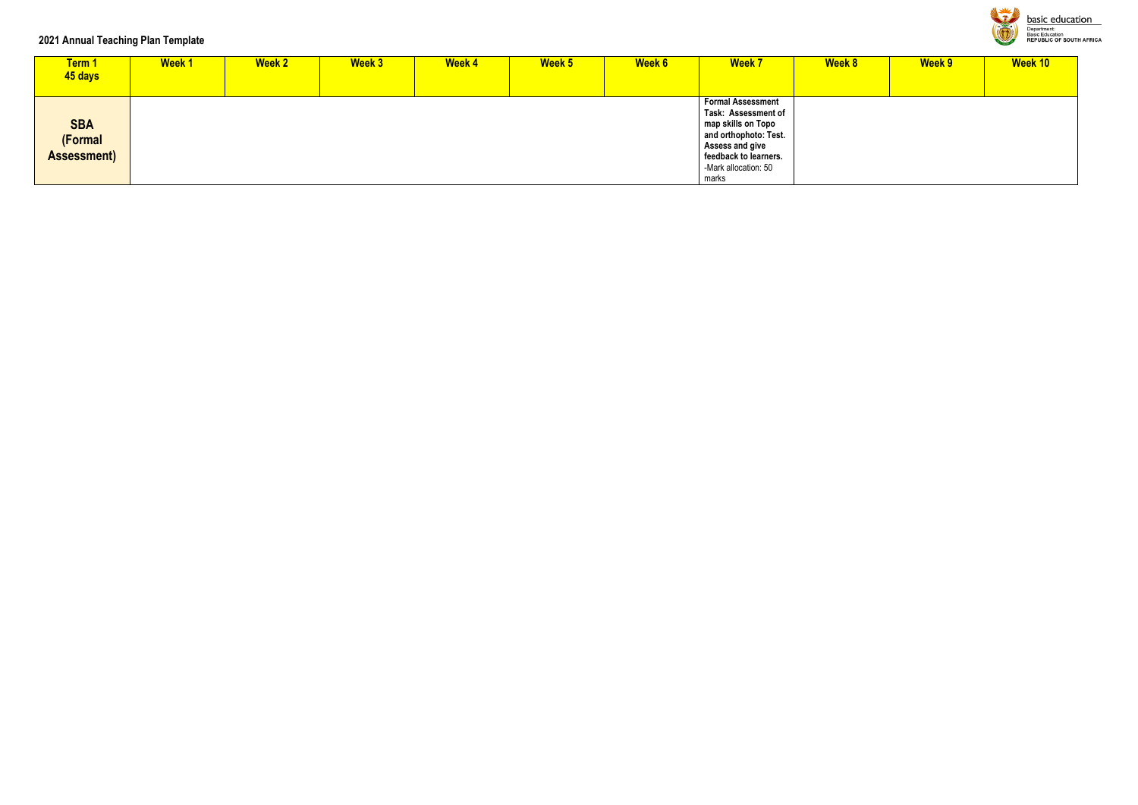### **2021 Annual Teaching Plan Template**

| Term 1<br>45 days                           | <b>Week1</b> | <b>Week 2</b> | <b>Week 3</b> | <b>Week 4</b> | Week 5 | <b>Week 6</b> | <b>Week 7</b>                                                                                                                                                               | <b>Week 8</b> | Week 9 | <b>Week 10</b> |
|---------------------------------------------|--------------|---------------|---------------|---------------|--------|---------------|-----------------------------------------------------------------------------------------------------------------------------------------------------------------------------|---------------|--------|----------------|
| <b>SBA</b><br>(Formal<br><b>Assessment)</b> |              |               |               |               |        |               | <b>Formal Assessment</b><br>Task: Assessment of<br>map skills on Topo<br>and orthophoto: Test.<br>Assess and give<br>feedback to learners.<br>-Mark allocation: 50<br>marks |               |        |                |



**basic education**<br> **Department:**<br> **Basic Education**<br>
REPUBLIC OF SOUTH AFRICA

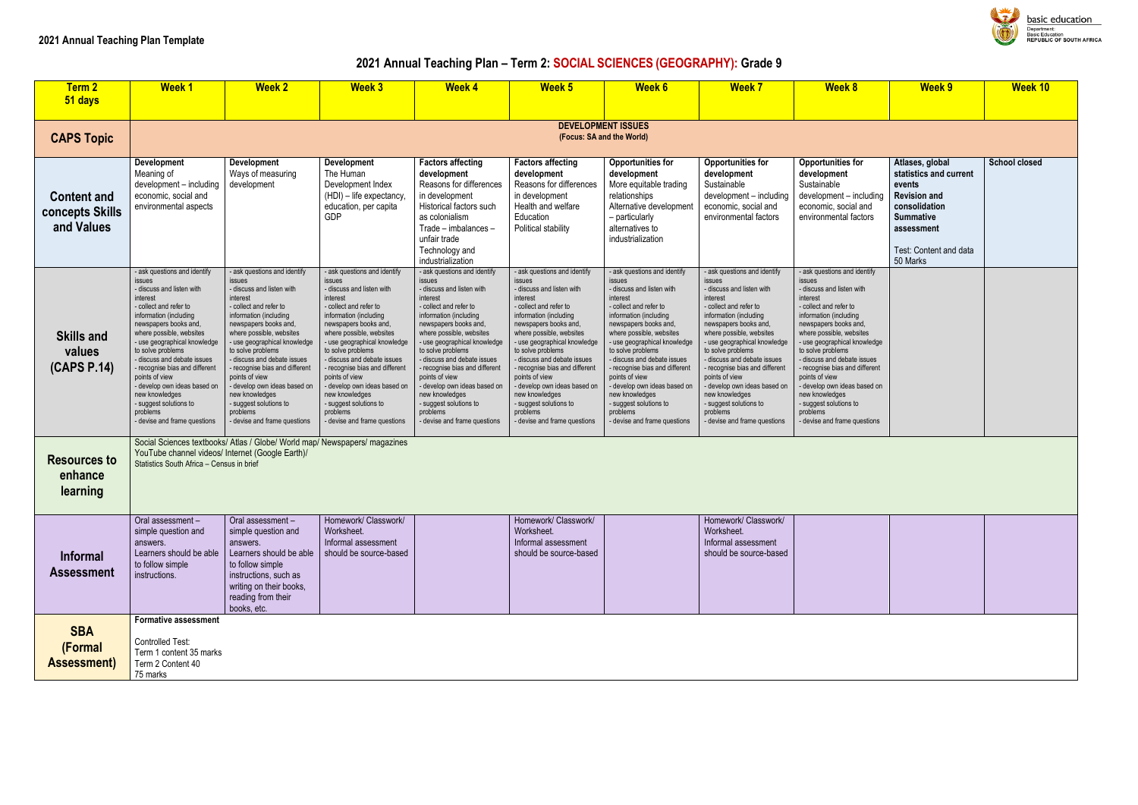# **2021 Annual Teaching Plan – Term 2: SOCIAL SCIENCES (GEOGRAPHY): Grade 9**

| <b>Term 2</b><br>51 days                            | <b>Week1</b>                                                                                                                                                                                                                                                                                                                                                                                                                                       | <b>Week 2</b>                                                                                                                                                                                                                                                                                                                                                                                                                                        | <b>Week 3</b>                                                                                                                                                                                                                                                                                                                                                                                                                                            | <b>Week 4</b>                                                                                                                                                                                                                                                                                                                                                                                                                                            | <b>Week 5</b>                                                                                                                                                                                                                                                                                                                                                                                                                                | <b>Week 6</b>                                                                                                                                                                                                                                                                                                                                                                                                                                      | <b>Week 7</b>                                                                                                                                                                                                                                                                                                                                                                                                                                          | <b>Week 8</b>                                                                                                                                                                                                                                                                                                                                                                                                                                            | <b>Week 9</b>                                                                                                                                                       | <b>Week 10</b>       |
|-----------------------------------------------------|----------------------------------------------------------------------------------------------------------------------------------------------------------------------------------------------------------------------------------------------------------------------------------------------------------------------------------------------------------------------------------------------------------------------------------------------------|------------------------------------------------------------------------------------------------------------------------------------------------------------------------------------------------------------------------------------------------------------------------------------------------------------------------------------------------------------------------------------------------------------------------------------------------------|----------------------------------------------------------------------------------------------------------------------------------------------------------------------------------------------------------------------------------------------------------------------------------------------------------------------------------------------------------------------------------------------------------------------------------------------------------|----------------------------------------------------------------------------------------------------------------------------------------------------------------------------------------------------------------------------------------------------------------------------------------------------------------------------------------------------------------------------------------------------------------------------------------------------------|----------------------------------------------------------------------------------------------------------------------------------------------------------------------------------------------------------------------------------------------------------------------------------------------------------------------------------------------------------------------------------------------------------------------------------------------|----------------------------------------------------------------------------------------------------------------------------------------------------------------------------------------------------------------------------------------------------------------------------------------------------------------------------------------------------------------------------------------------------------------------------------------------------|--------------------------------------------------------------------------------------------------------------------------------------------------------------------------------------------------------------------------------------------------------------------------------------------------------------------------------------------------------------------------------------------------------------------------------------------------------|----------------------------------------------------------------------------------------------------------------------------------------------------------------------------------------------------------------------------------------------------------------------------------------------------------------------------------------------------------------------------------------------------------------------------------------------------------|---------------------------------------------------------------------------------------------------------------------------------------------------------------------|----------------------|
|                                                     |                                                                                                                                                                                                                                                                                                                                                                                                                                                    |                                                                                                                                                                                                                                                                                                                                                                                                                                                      |                                                                                                                                                                                                                                                                                                                                                                                                                                                          |                                                                                                                                                                                                                                                                                                                                                                                                                                                          |                                                                                                                                                                                                                                                                                                                                                                                                                                              |                                                                                                                                                                                                                                                                                                                                                                                                                                                    |                                                                                                                                                                                                                                                                                                                                                                                                                                                        |                                                                                                                                                                                                                                                                                                                                                                                                                                                          |                                                                                                                                                                     |                      |
| <b>CAPS Topic</b>                                   |                                                                                                                                                                                                                                                                                                                                                                                                                                                    |                                                                                                                                                                                                                                                                                                                                                                                                                                                      |                                                                                                                                                                                                                                                                                                                                                                                                                                                          |                                                                                                                                                                                                                                                                                                                                                                                                                                                          | <b>DEVELOPMENT ISSUES</b>                                                                                                                                                                                                                                                                                                                                                                                                                    | (Focus: SA and the World)                                                                                                                                                                                                                                                                                                                                                                                                                          |                                                                                                                                                                                                                                                                                                                                                                                                                                                        |                                                                                                                                                                                                                                                                                                                                                                                                                                                          |                                                                                                                                                                     |                      |
| <b>Content and</b><br>concepts Skills<br>and Values | Development<br>Meaning of<br>development - including<br>economic, social and<br>environmental aspects                                                                                                                                                                                                                                                                                                                                              | Development<br>Ways of measuring<br>development                                                                                                                                                                                                                                                                                                                                                                                                      | <b>Development</b><br>The Human<br>Development Index<br>(HDI) - life expectancy,<br>education, per capita<br><b>GDP</b>                                                                                                                                                                                                                                                                                                                                  | <b>Factors affecting</b><br>development<br>Reasons for differences<br>in development<br>Historical factors such<br>as colonialism<br>Trade - imbalances -<br>unfair trade<br>Technology and<br>industrialization                                                                                                                                                                                                                                         | <b>Factors affecting</b><br>development<br>Reasons for differences<br>in development<br>Health and welfare<br>Education<br>Political stability                                                                                                                                                                                                                                                                                               | <b>Opportunities for</b><br>development<br>More equitable trading<br>relationships<br>Alternative development<br>- particularly<br>alternatives to<br>industrialization                                                                                                                                                                                                                                                                            | <b>Opportunities for</b><br>development<br>Sustainable<br>development - including<br>economic, social and<br>environmental factors                                                                                                                                                                                                                                                                                                                     | <b>Opportunities for</b><br>development<br>Sustainable<br>development - including<br>economic, social and<br>environmental factors                                                                                                                                                                                                                                                                                                                       | Atlases, global<br>statistics and current<br>events<br><b>Revision and</b><br>consolidation<br><b>Summative</b><br>assessment<br>Test: Content and data<br>50 Marks | <b>School closed</b> |
| <b>Skills and</b><br>values<br>(CAPS P.14)          | - ask questions and identify<br>issues<br>- discuss and listen with<br>interest<br>collect and refer to<br>information (including<br>newspapers books and,<br>where possible, websites<br>- use geographical knowledge<br>to solve problems<br>- discuss and debate issues<br>recognise bias and different<br>points of view<br>develop own ideas based on<br>new knowledges<br>- suggest solutions to<br>problems<br>- devise and frame questions | - ask questions and identify<br>issues<br>- discuss and listen with<br>interest<br>collect and refer to<br>information (including<br>newspapers books and,<br>where possible, websites<br>- use geographical knowledge<br>to solve problems<br>discuss and debate issues<br>- recognise bias and different<br>points of view<br>- develop own ideas based on<br>new knowledges<br>- suggest solutions to<br>problems<br>- devise and frame questions | - ask questions and identify<br>issues<br>- discuss and listen with<br>interest<br>- collect and refer to<br>information (including<br>newspapers books and,<br>where possible, websites<br>- use geographical knowledge<br>to solve problems<br>- discuss and debate issues<br>- recognise bias and different<br>points of view<br>- develop own ideas based on<br>new knowledges<br>- suggest solutions to<br>problems<br>- devise and frame questions | - ask questions and identify<br>issues<br>- discuss and listen with<br>interest<br>- collect and refer to<br>information (including<br>newspapers books and,<br>where possible, websites<br>- use geographical knowledge<br>to solve problems<br>- discuss and debate issues<br>- recognise bias and different<br>points of view<br>- develop own ideas based on<br>new knowledges<br>- suggest solutions to<br>problems<br>- devise and frame questions | ask questions and identify<br>issues<br>- discuss and listen with<br>interest<br>- collect and refer to<br>information (including<br>newspapers books and,<br>where possible, websites<br>use geographical knowledge<br>to solve problems<br>discuss and debate issues<br>recognise bias and different<br>points of view<br>develop own ideas based on<br>new knowledges<br>suggest solutions to<br>problems<br>- devise and frame questions | - ask questions and identify<br>issues<br>- discuss and listen with<br>interest<br>- collect and refer to<br>information (including<br>newspapers books and,<br>where possible, websites<br>- use geographical knowledge<br>to solve problems<br>discuss and debate issues<br>- recognise bias and different<br>points of view<br>develop own ideas based on<br>new knowledges<br>- suggest solutions to<br>problems<br>devise and frame questions | - ask questions and identify<br>issues<br>- discuss and listen with<br>interest<br>collect and refer to<br>information (including<br>newspapers books and,<br>where possible, websites<br>- use geographical knowledge<br>to solve problems<br>- discuss and debate issues<br>- recognise bias and different<br>points of view<br>- develop own ideas based on<br>new knowledges<br>- suggest solutions to<br>problems<br>- devise and frame questions | - ask questions and identify<br>issues<br>- discuss and listen with<br>interest<br>- collect and refer to<br>information (including<br>newspapers books and,<br>where possible, websites<br>- use geographical knowledge<br>to solve problems<br>- discuss and debate issues<br>- recognise bias and different<br>points of view<br>- develop own ideas based on<br>new knowledges<br>- suggest solutions to<br>problems<br>- devise and frame questions |                                                                                                                                                                     |                      |
| <b>Resources to</b><br>enhance<br>learning          | YouTube channel videos/ Internet (Google Earth)/<br>Statistics South Africa - Census in brief                                                                                                                                                                                                                                                                                                                                                      | Social Sciences textbooks/ Atlas / Globe/ World map/ Newspapers/ magazines                                                                                                                                                                                                                                                                                                                                                                           |                                                                                                                                                                                                                                                                                                                                                                                                                                                          |                                                                                                                                                                                                                                                                                                                                                                                                                                                          |                                                                                                                                                                                                                                                                                                                                                                                                                                              |                                                                                                                                                                                                                                                                                                                                                                                                                                                    |                                                                                                                                                                                                                                                                                                                                                                                                                                                        |                                                                                                                                                                                                                                                                                                                                                                                                                                                          |                                                                                                                                                                     |                      |
| <b>Informal</b><br><b>Assessment</b>                | Oral assessment-<br>simple question and<br>answers.<br>Learners should be able<br>to follow simple<br>instructions.                                                                                                                                                                                                                                                                                                                                | Oral assessment-<br>simple question and<br>answers.<br>Learners should be able<br>to follow simple<br>instructions, such as<br>writing on their books,<br>reading from their<br>books, etc.                                                                                                                                                                                                                                                          | Homework/ Classwork/<br>Worksheet.<br>Informal assessment<br>should be source-based                                                                                                                                                                                                                                                                                                                                                                      |                                                                                                                                                                                                                                                                                                                                                                                                                                                          | Homework/ Classwork/<br>Worksheet.<br>Informal assessment<br>should be source-based                                                                                                                                                                                                                                                                                                                                                          |                                                                                                                                                                                                                                                                                                                                                                                                                                                    | Homework/ Classwork/<br>Worksheet.<br>Informal assessment<br>should be source-based                                                                                                                                                                                                                                                                                                                                                                    |                                                                                                                                                                                                                                                                                                                                                                                                                                                          |                                                                                                                                                                     |                      |
| <b>SBA</b><br>(Formal<br><b>Assessment)</b>         | <b>Formative assessment</b><br>Controlled Test:<br>Term 1 content 35 marks<br>Term 2 Content 40<br>75 marks                                                                                                                                                                                                                                                                                                                                        |                                                                                                                                                                                                                                                                                                                                                                                                                                                      |                                                                                                                                                                                                                                                                                                                                                                                                                                                          |                                                                                                                                                                                                                                                                                                                                                                                                                                                          |                                                                                                                                                                                                                                                                                                                                                                                                                                              |                                                                                                                                                                                                                                                                                                                                                                                                                                                    |                                                                                                                                                                                                                                                                                                                                                                                                                                                        |                                                                                                                                                                                                                                                                                                                                                                                                                                                          |                                                                                                                                                                     |                      |



**basic education** Department:<br>Department:<br>Basic Education<br>REPUBLIC OF SOUTH AFRICA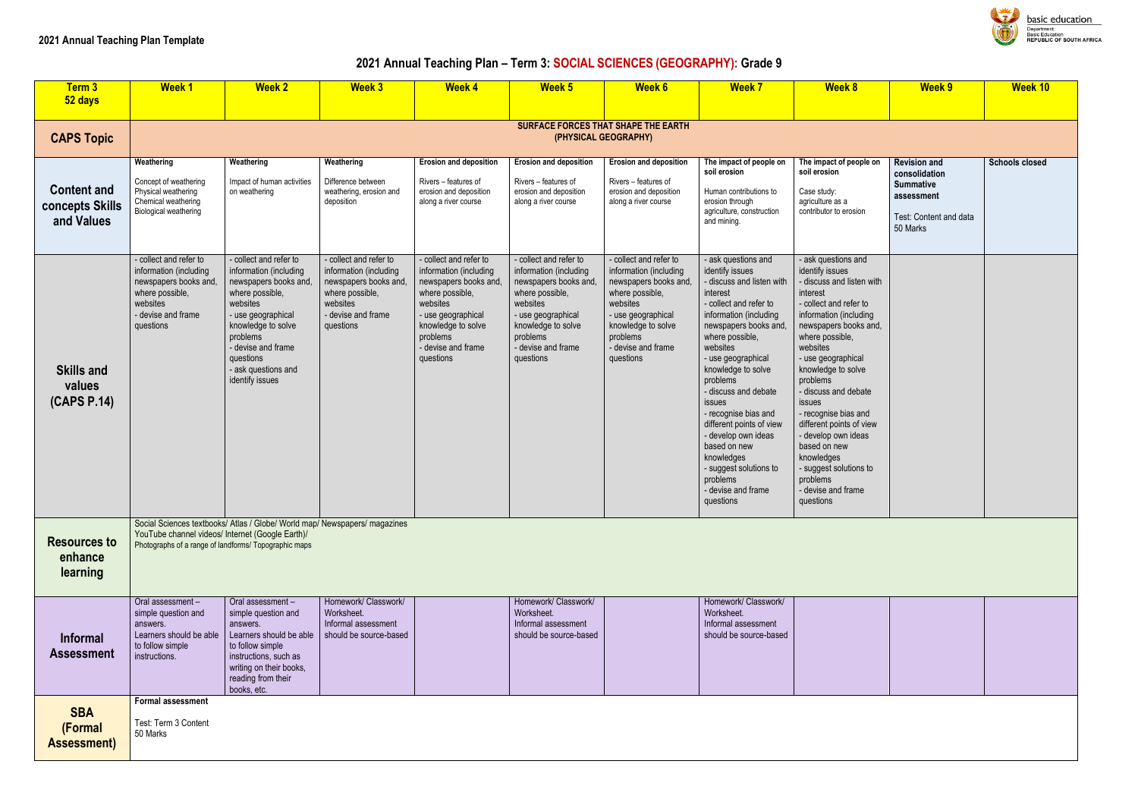## **2021 Annual Teaching Plan – Term 3: SOCIAL SCIENCES (GEOGRAPHY): Grade 9**

| Term 3<br>52 days                                   | <b>Week1</b>                                                                                                                                | <b>Week 2</b>                                                                                                                                                                                                                                 | <b>Week 3</b>                                                                                                                               | <b>Week 4</b>                                                                                                                                                                                     | <b>Week 5</b>                                                                                                                                                                                     | <b>Week 6</b>                                                                                                                                                                                       | <b>Week 7</b>                                                                                                                                                                                                                                                                                                                                                                                                                                                         | <b>Week 8</b>                                                                                                                                                                                                                                                                                                                                                                                                                                                           | <b>Week 9</b>                                                                                                | <b>Week 10</b>        |
|-----------------------------------------------------|---------------------------------------------------------------------------------------------------------------------------------------------|-----------------------------------------------------------------------------------------------------------------------------------------------------------------------------------------------------------------------------------------------|---------------------------------------------------------------------------------------------------------------------------------------------|---------------------------------------------------------------------------------------------------------------------------------------------------------------------------------------------------|---------------------------------------------------------------------------------------------------------------------------------------------------------------------------------------------------|-----------------------------------------------------------------------------------------------------------------------------------------------------------------------------------------------------|-----------------------------------------------------------------------------------------------------------------------------------------------------------------------------------------------------------------------------------------------------------------------------------------------------------------------------------------------------------------------------------------------------------------------------------------------------------------------|-------------------------------------------------------------------------------------------------------------------------------------------------------------------------------------------------------------------------------------------------------------------------------------------------------------------------------------------------------------------------------------------------------------------------------------------------------------------------|--------------------------------------------------------------------------------------------------------------|-----------------------|
| <b>CAPS Topic</b>                                   |                                                                                                                                             |                                                                                                                                                                                                                                               |                                                                                                                                             |                                                                                                                                                                                                   | SURFACE FORCES THAT SHAPE THE EARTH<br>(PHYSICAL GEOGRAPHY)                                                                                                                                       |                                                                                                                                                                                                     |                                                                                                                                                                                                                                                                                                                                                                                                                                                                       |                                                                                                                                                                                                                                                                                                                                                                                                                                                                         |                                                                                                              |                       |
| <b>Content and</b><br>concepts Skills<br>and Values | Weathering<br>Concept of weathering<br>Physical weathering<br>Chemical weathering<br>Biological weathering                                  | Weathering<br>Impact of human activities<br>on weathering                                                                                                                                                                                     | Weathering<br>Difference between<br>weathering, erosion and<br>deposition                                                                   | <b>Erosion and deposition</b><br>Rivers - features of<br>erosion and deposition<br>along a river course                                                                                           | <b>Erosion and deposition</b><br>Rivers - features of<br>erosion and deposition<br>along a river course                                                                                           | <b>Erosion and deposition</b><br>Rivers - features of<br>erosion and deposition<br>along a river course                                                                                             | The impact of people on<br>soil erosion<br>Human contributions to<br>erosion through<br>agriculture, construction<br>and mining.                                                                                                                                                                                                                                                                                                                                      | The impact of people on<br>soil erosion<br>Case study:<br>agriculture as a<br>contributor to erosion                                                                                                                                                                                                                                                                                                                                                                    | <b>Revision and</b><br>consolidation<br><b>Summative</b><br>assessment<br>Test: Content and data<br>50 Marks | <b>Schools closed</b> |
| <b>Skills and</b><br>values<br>(CAPS P.14)          | - collect and refer to<br>information (including<br>newspapers books and,<br>where possible,<br>websites<br>- devise and frame<br>questions | - collect and refer to<br>information (including<br>newspapers books and,<br>where possible,<br>websites<br>- use geographical<br>knowledge to solve<br>problems<br>- devise and frame<br>questions<br>- ask questions and<br>identify issues | - collect and refer to<br>information (including<br>newspapers books and,<br>where possible,<br>websites<br>- devise and frame<br>questions | collect and refer to<br>information (including<br>newspapers books and,<br>where possible,<br>websites<br>- use geographical<br>knowledge to solve<br>problems<br>- devise and frame<br>questions | collect and refer to<br>information (including<br>newspapers books and,<br>where possible,<br>websites<br>- use geographical<br>knowledge to solve<br>problems<br>- devise and frame<br>questions | - collect and refer to<br>information (including<br>newspapers books and,<br>where possible,<br>websites<br>- use geographical<br>knowledge to solve<br>problems<br>- devise and frame<br>questions | ask questions and<br>identify issues<br>- discuss and listen with<br>interest<br>- collect and refer to<br>information (including<br>newspapers books and,<br>where possible,<br>websites<br>- use geographical<br>knowledge to solve<br>problems<br>- discuss and debate<br>issues<br>- recognise bias and<br>different points of view<br>- develop own ideas<br>based on new<br>knowledges<br>- suggest solutions to<br>problems<br>- devise and frame<br>questions | - ask questions and<br>identify issues<br>- discuss and listen with<br>interest<br>- collect and refer to<br>information (including<br>newspapers books and,<br>where possible,<br>websites<br>- use geographical<br>knowledge to solve<br>problems<br>- discuss and debate<br>issues<br>- recognise bias and<br>different points of view<br>- develop own ideas<br>based on new<br>knowledges<br>- suggest solutions to<br>problems<br>- devise and frame<br>questions |                                                                                                              |                       |
| <b>Resources to</b><br>enhance<br>learning          | YouTube channel videos/ Internet (Google Earth)/                                                                                            | Social Sciences textbooks/ Atlas / Globe/ World map/ Newspapers/ magazines<br>Photographs of a range of landforms/ Topographic maps                                                                                                           |                                                                                                                                             |                                                                                                                                                                                                   |                                                                                                                                                                                                   |                                                                                                                                                                                                     |                                                                                                                                                                                                                                                                                                                                                                                                                                                                       |                                                                                                                                                                                                                                                                                                                                                                                                                                                                         |                                                                                                              |                       |
| <b>Informal</b><br><b>Assessment</b>                | Oral assessment-<br>simple question and<br>answers.<br>Learners should be able<br>to follow simple<br>instructions.                         | Oral assessment -<br>simple question and<br>answers.<br>Learners should be able<br>to follow simple<br>instructions, such as<br>writing on their books,<br>reading from their<br>books, etc.                                                  | Homework/ Classwork/<br>Worksheet.<br>Informal assessment<br>should be source-based                                                         |                                                                                                                                                                                                   | Homework/ Classwork/<br>Worksheet.<br>Informal assessment<br>should be source-based                                                                                                               |                                                                                                                                                                                                     | Homework/ Classwork/<br>Worksheet.<br>Informal assessment<br>should be source-based                                                                                                                                                                                                                                                                                                                                                                                   |                                                                                                                                                                                                                                                                                                                                                                                                                                                                         |                                                                                                              |                       |
| <b>SBA</b><br>(Formal<br><b>Assessment)</b>         | Formal assessment<br>Test: Term 3 Content<br>50 Marks                                                                                       |                                                                                                                                                                                                                                               |                                                                                                                                             |                                                                                                                                                                                                   |                                                                                                                                                                                                   |                                                                                                                                                                                                     |                                                                                                                                                                                                                                                                                                                                                                                                                                                                       |                                                                                                                                                                                                                                                                                                                                                                                                                                                                         |                                                                                                              |                       |



**basic education** Department:<br>Department:<br>Basic Education<br>REPUBLIC OF SOUTH AFRICA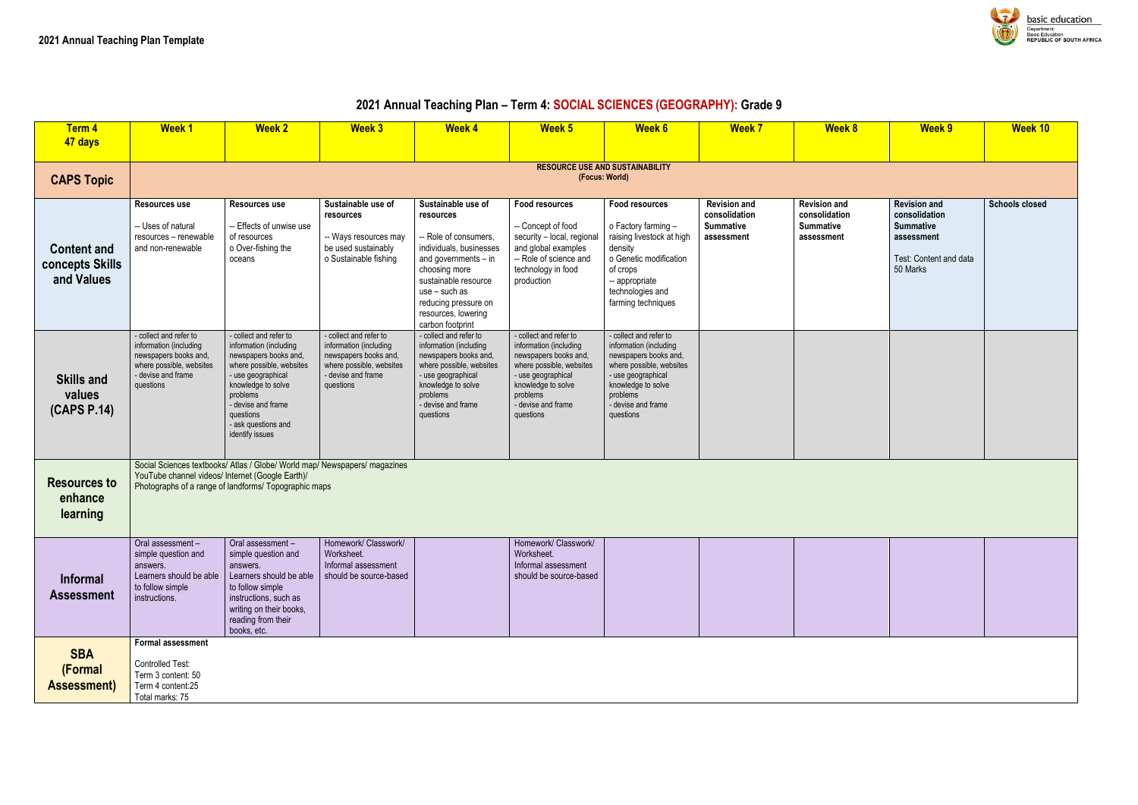# **2021 Annual Teaching Plan – Term 4: SOCIAL SCIENCES (GEOGRAPHY): Grade 9**



| Ì | <b>Week 9</b>                                                                                                | Week <sub>10</sub>    |
|---|--------------------------------------------------------------------------------------------------------------|-----------------------|
|   |                                                                                                              |                       |
|   | <b>Revision and</b><br>consolidation<br><b>Summative</b><br>assessment<br>Test: Content and data<br>50 Marks | <b>Schools closed</b> |
|   |                                                                                                              |                       |
|   |                                                                                                              |                       |
|   |                                                                                                              |                       |
|   |                                                                                                              |                       |
|   |                                                                                                              |                       |
|   |                                                                                                              |                       |

| Term 4<br>47 days                                   | <b>Week1</b>                                                                                                                             | <b>Week 2</b>                                                                                                                                                                                                                              | <b>Week 3</b>                                                                                                                            | <b>Week 4</b>                                                                                                                                                                                                                              | Week 5                                                                                                                                                                                           | <b>Week 6</b>                                                                                                                                                                                    | <b>Week 7</b>                                                          | <b>Week 8</b>                                                          | <b>Week 9</b>                                                                                                | <b>Week 10</b>        |
|-----------------------------------------------------|------------------------------------------------------------------------------------------------------------------------------------------|--------------------------------------------------------------------------------------------------------------------------------------------------------------------------------------------------------------------------------------------|------------------------------------------------------------------------------------------------------------------------------------------|--------------------------------------------------------------------------------------------------------------------------------------------------------------------------------------------------------------------------------------------|--------------------------------------------------------------------------------------------------------------------------------------------------------------------------------------------------|--------------------------------------------------------------------------------------------------------------------------------------------------------------------------------------------------|------------------------------------------------------------------------|------------------------------------------------------------------------|--------------------------------------------------------------------------------------------------------------|-----------------------|
| <b>CAPS Topic</b>                                   |                                                                                                                                          |                                                                                                                                                                                                                                            |                                                                                                                                          |                                                                                                                                                                                                                                            | (Focus: World)                                                                                                                                                                                   | <b>RESOURCE USE AND SUSTAINABILITY</b>                                                                                                                                                           |                                                                        |                                                                        |                                                                                                              |                       |
| <b>Content and</b><br>concepts Skills<br>and Values | Resources use<br>-- Uses of natural<br>resources - renewable<br>and non-renewable                                                        | <b>Resources use</b><br>-- Effects of unwise use<br>of resources<br>o Over-fishing the<br>oceans                                                                                                                                           | Sustainable use of<br>resources<br>-- Ways resources may<br>be used sustainably<br>o Sustainable fishing                                 | Sustainable use of<br>resources<br>-- Role of consumers,<br>individuals, businesses<br>and governments $-$ in<br>choosing more<br>sustainable resource<br>use - such as<br>reducing pressure on<br>resources, lowering<br>carbon footprint | <b>Food resources</b><br>-- Concept of food<br>security - local, regional<br>and global examples<br>-- Role of science and<br>technology in food<br>production                                   | <b>Food resources</b><br>o Factory farming -<br>raising livestock at high<br>density<br>o Genetic modification<br>of crops<br>-- appropriate<br>technologies and<br>farming techniques           | <b>Revision and</b><br>consolidation<br><b>Summative</b><br>assessment | <b>Revision and</b><br>consolidation<br><b>Summative</b><br>assessment | <b>Revision and</b><br>consolidation<br><b>Summative</b><br>assessment<br>Test: Content and data<br>50 Marks | <b>Schools closed</b> |
| <b>Skills and</b><br>values<br>(CAPS P.14)          | - collect and refer to<br>information (including<br>newspapers books and,<br>where possible, websites<br>- devise and frame<br>questions | - collect and refer to<br>information (including<br>newspapers books and,<br>where possible, websites<br>- use geographical<br>knowledge to solve<br>problems<br>- devise and frame<br>questions<br>- ask questions and<br>identify issues | - collect and refer to<br>information (including<br>newspapers books and,<br>where possible, websites<br>- devise and frame<br>questions | - collect and refer to<br>information (including<br>newspapers books and,<br>where possible, websites<br>- use geographical<br>knowledge to solve<br>problems<br>- devise and frame<br>questions                                           | - collect and refer to<br>information (including<br>newspapers books and,<br>where possible, websites<br>- use geographical<br>knowledge to solve<br>problems<br>- devise and frame<br>questions | - collect and refer to<br>information (including<br>newspapers books and,<br>where possible, websites<br>- use geographical<br>knowledge to solve<br>problems<br>- devise and frame<br>questions |                                                                        |                                                                        |                                                                                                              |                       |
| <b>Resources to</b><br>enhance<br>learning          | YouTube channel videos/ Internet (Google Earth)/                                                                                         | Social Sciences textbooks/ Atlas / Globe/ World map/ Newspapers/ magazines<br>Photographs of a range of landforms/ Topographic maps                                                                                                        |                                                                                                                                          |                                                                                                                                                                                                                                            |                                                                                                                                                                                                  |                                                                                                                                                                                                  |                                                                        |                                                                        |                                                                                                              |                       |
| <b>Informal</b><br><b>Assessment</b>                | Oral assessment-<br>simple question and<br>answers.<br>Learners should be able<br>to follow simple<br>instructions.                      | Oral assessment -<br>simple question and<br>answers.<br>Learners should be able<br>to follow simple<br>instructions, such as<br>writing on their books,<br>reading from their<br>books, etc.                                               | Homework/ Classwork/<br>Worksheet.<br>Informal assessment<br>should be source-based                                                      |                                                                                                                                                                                                                                            | Homework/ Classwork/<br>Worksheet.<br>Informal assessment<br>should be source-based                                                                                                              |                                                                                                                                                                                                  |                                                                        |                                                                        |                                                                                                              |                       |
| <b>SBA</b><br>(Formal<br><b>Assessment)</b>         | Formal assessment<br>Controlled Test:<br>Term 3 content: 50<br>Term 4 content:25<br>Total marks: 75                                      |                                                                                                                                                                                                                                            |                                                                                                                                          |                                                                                                                                                                                                                                            |                                                                                                                                                                                                  |                                                                                                                                                                                                  |                                                                        |                                                                        |                                                                                                              |                       |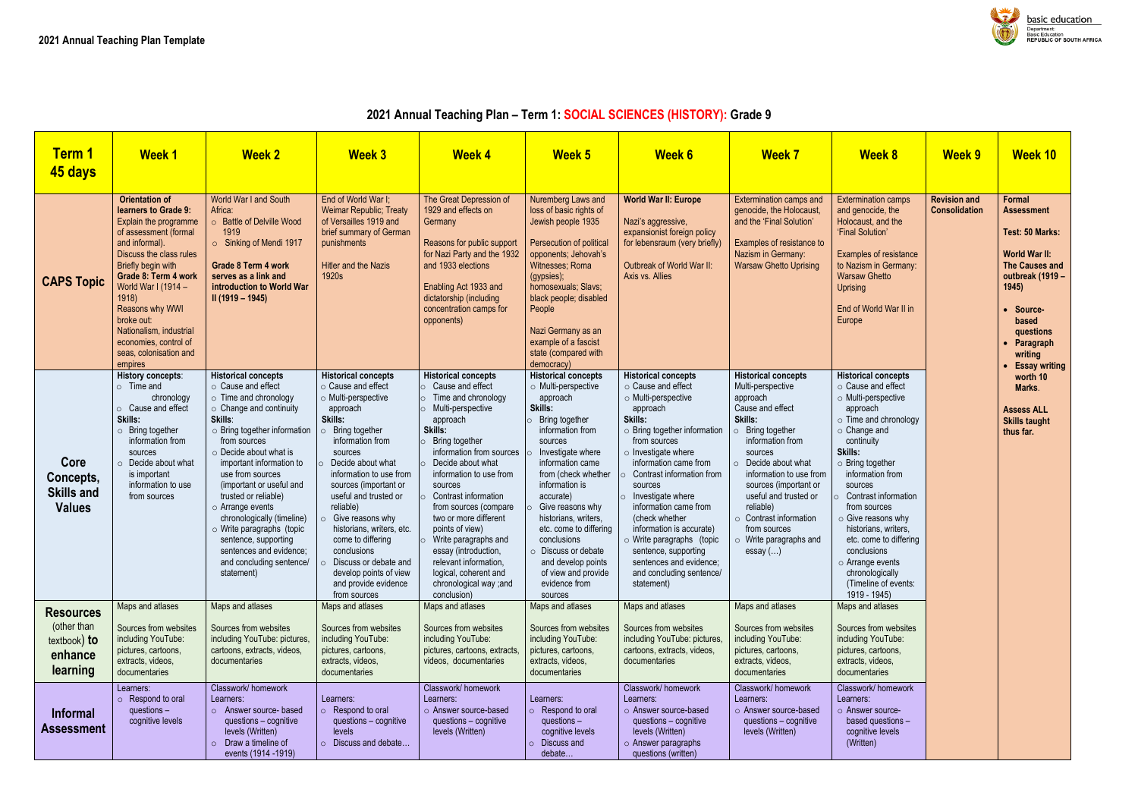### **2021 Annual Teaching Plan – Term 1: SOCIAL SCIENCES (HISTORY): Grade 9**



| <b>Term 1</b><br>45 days                                               | <b>Week1</b>                                                                                                                                                                                                                                                                                                                                        | <b>Week 2</b>                                                                                                                                                                                                                                                                                                                                                                                                                                                                                     | <b>Week 3</b>                                                                                                                                                                                                                                                                                                                                                                                                                                                                       | <b>Week 4</b>                                                                                                                                                                                                                                                                                                                                                                                                                                                      | <b>Week 5</b>                                                                                                                                                                                                                                                                                                                                                                                                 | <b>Week 6</b>                                                                                                                                                                                                                                                                                                                                                                                                                                                      | <b>Week 7</b>                                                                                                                                                                                                                                                                                                                                            | <b>Week 8</b>                                                                                                                                                                                                                                                                                                                                                                                                                                              | <b>Week 9</b>                               | <b>Week 10</b>                                                                                                                                                                                         |
|------------------------------------------------------------------------|-----------------------------------------------------------------------------------------------------------------------------------------------------------------------------------------------------------------------------------------------------------------------------------------------------------------------------------------------------|---------------------------------------------------------------------------------------------------------------------------------------------------------------------------------------------------------------------------------------------------------------------------------------------------------------------------------------------------------------------------------------------------------------------------------------------------------------------------------------------------|-------------------------------------------------------------------------------------------------------------------------------------------------------------------------------------------------------------------------------------------------------------------------------------------------------------------------------------------------------------------------------------------------------------------------------------------------------------------------------------|--------------------------------------------------------------------------------------------------------------------------------------------------------------------------------------------------------------------------------------------------------------------------------------------------------------------------------------------------------------------------------------------------------------------------------------------------------------------|---------------------------------------------------------------------------------------------------------------------------------------------------------------------------------------------------------------------------------------------------------------------------------------------------------------------------------------------------------------------------------------------------------------|--------------------------------------------------------------------------------------------------------------------------------------------------------------------------------------------------------------------------------------------------------------------------------------------------------------------------------------------------------------------------------------------------------------------------------------------------------------------|----------------------------------------------------------------------------------------------------------------------------------------------------------------------------------------------------------------------------------------------------------------------------------------------------------------------------------------------------------|------------------------------------------------------------------------------------------------------------------------------------------------------------------------------------------------------------------------------------------------------------------------------------------------------------------------------------------------------------------------------------------------------------------------------------------------------------|---------------------------------------------|--------------------------------------------------------------------------------------------------------------------------------------------------------------------------------------------------------|
| <b>CAPS Topic</b>                                                      | <b>Orientation of</b><br>learners to Grade 9:<br>Explain the programme<br>of assessment (formal<br>and informal).<br>Discuss the class rules<br>Briefly begin with<br>Grade 8: Term 4 work<br>World War I (1914 -<br>1918<br>Reasons why WWI<br>broke out:<br>Nationalism, industrial<br>economies, control of<br>seas, colonisation and<br>empires | World War I and South<br>Africa:<br>○ Battle of Delville Wood<br>1919<br>Sinking of Mendi 1917<br><b>Grade 8 Term 4 work</b><br>serves as a link and<br>introduction to World War<br>$II(1919 - 1945)$                                                                                                                                                                                                                                                                                            | End of World War I;<br><b>Weimar Republic; Treaty</b><br>of Versailles 1919 and<br>brief summary of German<br>punishments<br><b>Hitler and the Nazis</b><br>1920s                                                                                                                                                                                                                                                                                                                   | The Great Depression of<br>1929 and effects on<br>Germany<br>Reasons for public support<br>for Nazi Party and the 1932<br>and 1933 elections<br>Enabling Act 1933 and<br>dictatorship (including<br>concentration camps for<br>opponents)                                                                                                                                                                                                                          | Nuremberg Laws and<br>loss of basic rights of<br>Jewish people 1935<br>Persecution of political<br>opponents; Jehovah's<br>Witnesses; Roma<br>(gypsies);<br>homosexuals; Slavs;<br>black people; disabled<br>People<br>Nazi Germany as an<br>example of a fascist<br>state (compared with<br>democracy)                                                                                                       | <b>World War II: Europe</b><br>Nazi's aggressive,<br>expansionist foreign policy<br>for lebensraum (very briefly)<br>Outbreak of World War II:<br>Axis vs. Allies                                                                                                                                                                                                                                                                                                  | <b>Extermination camps and</b><br>genocide, the Holocaust,<br>and the 'Final Solution'<br>Examples of resistance to<br>Nazism in Germany:<br><b>Warsaw Ghetto Uprising</b>                                                                                                                                                                               | <b>Extermination camps</b><br>and genocide, the<br>Holocaust, and the<br>'Final Solution'<br><b>Examples of resistance</b><br>to Nazism in Germany:<br><b>Warsaw Ghetto</b><br><b>Uprising</b><br>End of World War II in<br>Europe                                                                                                                                                                                                                         | <b>Revision and</b><br><b>Consolidation</b> | Formal<br><b>Assessment</b><br>Test: 50 Marks<br><b>World War II:</b><br><b>The Causes are</b><br>outbreak (191<br>1945<br>Source-<br>based<br>questions<br>Paragraph<br>writing<br><b>Essay writi</b> |
| Core<br>Concepts,<br><b>Skills and</b><br><b>Values</b>                | <b>History concepts:</b><br>$\circ$ Time and<br>chronology<br>o Cause and effect<br>Skills:<br>o Bring together<br>information from<br>sources<br>Decide about what<br>is important<br>information to use<br>from sources                                                                                                                           | <b>Historical concepts</b><br>○ Cause and effect<br>$\circ$ Time and chronology<br>$\circ$ Change and continuity<br>Skills:<br>o Bring together information<br>from sources<br>$\circ$ Decide about what is<br>important information to<br>use from sources<br>(important or useful and<br>trusted or reliable)<br>$\circ$ Arrange events<br>chronologically (timeline)<br>o Write paragraphs (topic<br>sentence, supporting<br>sentences and evidence;<br>and concluding sentence/<br>statement) | <b>Historical concepts</b><br>$\circ$ Cause and effect<br>o Multi-perspective<br>approach<br>Skills:<br>Bring together<br>$\circ$<br>information from<br>sources<br>Decide about what<br>information to use from<br>sources (important or<br>useful and trusted or<br>reliable)<br>$\circ$ Give reasons why<br>historians, writers, etc.<br>come to differing<br>conclusions<br>Discuss or debate and<br>$\Omega$<br>develop points of view<br>and provide evidence<br>from sources | <b>Historical concepts</b><br>Cause and effect<br>Time and chronology<br>Multi-perspective<br>approach<br>Skills:<br>Bring together<br>information from sources<br>Decide about what<br>information to use from<br>sources<br>Contrast information<br>from sources (compare<br>two or more different<br>points of view)<br>Write paragraphs and<br>essay (introduction,<br>relevant information,<br>logical, coherent and<br>chronological way ;and<br>conclusion) | <b>Historical concepts</b><br>o Multi-perspective<br>approach<br>Skills:<br>Bring together<br>information from<br>sources<br>Investigate where<br>information came<br>from (check whether<br>information is<br>accurate)<br>Give reasons why<br>historians, writers,<br>etc. come to differing<br>conclusions<br>O Discuss or debate<br>and develop points<br>of view and provide<br>evidence from<br>sources | <b>Historical concepts</b><br>○ Cause and effect<br>o Multi-perspective<br>approach<br>Skills:<br>o Bring together information<br>from sources<br>$\circ$ Investigate where<br>information came from<br>Contrast information from<br>sources<br>Investigate where<br>information came from<br>(check whether<br>information is accurate)<br>o Write paragraphs (topic<br>sentence, supporting<br>sentences and evidence;<br>and concluding sentence/<br>statement) | <b>Historical concepts</b><br>Multi-perspective<br>approach<br>Cause and effect<br>Skills:<br>Bring together<br>information from<br>sources<br>Decide about what<br>information to use from<br>sources (important or<br>useful and trusted or<br>reliable)<br>$\circ$ Contrast information<br>from sources<br>$\circ$ Write paragraphs and<br>essay $()$ | <b>Historical concepts</b><br>$\circ$ Cause and effect<br>o Multi-perspective<br>approach<br>$\circ$ Time and chronology<br>$\circ$ Change and<br>continuity<br>Skills:<br>$\circ$ Bring together<br>information from<br>sources<br>Contrast information<br>from sources<br>$\circ$ Give reasons why<br>historians, writers,<br>etc. come to differing<br>conclusions<br>$\circ$ Arrange events<br>chronologically<br>(Timeline of events:<br>1919 - 1945) |                                             | worth 10<br>Marks.<br><b>Assess ALL</b><br><b>Skills taught</b><br>thus far.                                                                                                                           |
| <b>Resources</b><br>(other than<br>textbook) to<br>enhance<br>learning | Maps and atlases<br>Sources from websites<br>including YouTube:<br>pictures, cartoons,<br>extracts, videos,<br>documentaries                                                                                                                                                                                                                        | Maps and atlases<br>Sources from websites<br>including YouTube: pictures,<br>cartoons, extracts, videos,<br>documentaries                                                                                                                                                                                                                                                                                                                                                                         | Maps and atlases<br>Sources from websites<br>including YouTube:<br>pictures, cartoons,<br>extracts, videos,<br>documentaries                                                                                                                                                                                                                                                                                                                                                        | Maps and atlases<br>Sources from websites<br>including YouTube:<br>pictures, cartoons, extracts,<br>videos, documentaries                                                                                                                                                                                                                                                                                                                                          | Maps and atlases<br>Sources from websites<br>including YouTube:<br>pictures, cartoons,<br>extracts, videos,<br>documentaries                                                                                                                                                                                                                                                                                  | Maps and atlases<br>Sources from websites<br>including YouTube: pictures,<br>cartoons, extracts, videos,<br>documentaries                                                                                                                                                                                                                                                                                                                                          | Maps and atlases<br>Sources from websites<br>including YouTube:<br>pictures, cartoons,<br>extracts, videos,<br>documentaries                                                                                                                                                                                                                             | Maps and atlases<br>Sources from websites<br>including YouTube:<br>pictures, cartoons,<br>extracts, videos,<br>documentaries                                                                                                                                                                                                                                                                                                                               |                                             |                                                                                                                                                                                                        |
| <b>Informal</b><br>Assessment                                          | Learners:<br>$\circ$ Respond to oral<br>questions $-$<br>cognitive levels                                                                                                                                                                                                                                                                           | Classwork/homework<br>Learners:<br>o Answer source- based<br>questions - cognitive<br>levels (Written)<br>Draw a timeline of<br>events (1914 - 1919)                                                                                                                                                                                                                                                                                                                                              | Learners:<br>$\circ$ Respond to oral<br>questions - cognitive<br>levels<br>Discuss and debate                                                                                                                                                                                                                                                                                                                                                                                       | Classwork/homework<br>Learners:<br>o Answer source-based<br>questions - cognitive<br>levels (Written)                                                                                                                                                                                                                                                                                                                                                              | Learners:<br>$\circ$ Respond to oral<br>questions $-$<br>cognitive levels<br>Discuss and<br>debate                                                                                                                                                                                                                                                                                                            | Classwork/homework<br>Learners:<br>○ Answer source-based<br>questions - cognitive<br>levels (Written)<br>$\circ$ Answer paragraphs<br>questions (written)                                                                                                                                                                                                                                                                                                          | Classwork/homework<br>Learners:<br>○ Answer source-based<br>questions - cognitive<br>levels (Written)                                                                                                                                                                                                                                                    | Classwork/homework<br>Learners:<br>o Answer source-<br>based questions -<br>cognitive levels<br>(Written)                                                                                                                                                                                                                                                                                                                                                  |                                             |                                                                                                                                                                                                        |

| <b>Week 8</b>                                                                                                                                                                                                                                                                                                                                                                                                                                                   | <b>Week 9</b>                               | <b>Week 10</b>                                                                                                                                                                                                |
|-----------------------------------------------------------------------------------------------------------------------------------------------------------------------------------------------------------------------------------------------------------------------------------------------------------------------------------------------------------------------------------------------------------------------------------------------------------------|---------------------------------------------|---------------------------------------------------------------------------------------------------------------------------------------------------------------------------------------------------------------|
| <b>Extermination camps</b><br>and genocide, the<br>Holocaust, and the<br>'Final Solution'<br><b>Examples of resistance</b><br>to Nazism in Germany:<br><b>Warsaw Ghetto</b><br><b>Uprising</b><br>End of World War II in<br>Europe                                                                                                                                                                                                                              | <b>Revision and</b><br><b>Consolidation</b> | <b>Formal</b><br>Assessment<br>Test: 50 Marks:<br><b>World War II:</b><br><b>The Causes and</b><br>outbreak (1919 -<br>1945)<br>Source-<br>based<br>questions<br>Paragraph<br>writing<br><b>Essay writing</b> |
| <b>Historical concepts</b><br>$\circ$ Cause and effect<br>o Multi-perspective<br>approach<br>o Time and chronology<br>$\circ$ Change and<br>continuity<br>Skills:<br>$\circ$ Bring together<br>information from<br>sources<br>Contrast information<br>$\circ$<br>from sources<br>$\circ$ Give reasons why<br>historians, writers,<br>etc. come to differing<br>conclusions<br>$\circ$ Arrange events<br>chronologically<br>(Timeline of events:<br>1919 - 1945) |                                             | worth 10<br>Marks.<br><b>Assess ALL</b><br><b>Skills taught</b><br>thus far.                                                                                                                                  |
| Maps and atlases<br>Sources from websites<br>including YouTube:<br>pictures, cartoons,<br>extracts, videos,<br>documentaries<br>Classwork/homework<br>Learners:<br>$\circ$ Answer source-<br>based questions -<br>cognitive levels<br>(Written)                                                                                                                                                                                                                 |                                             |                                                                                                                                                                                                               |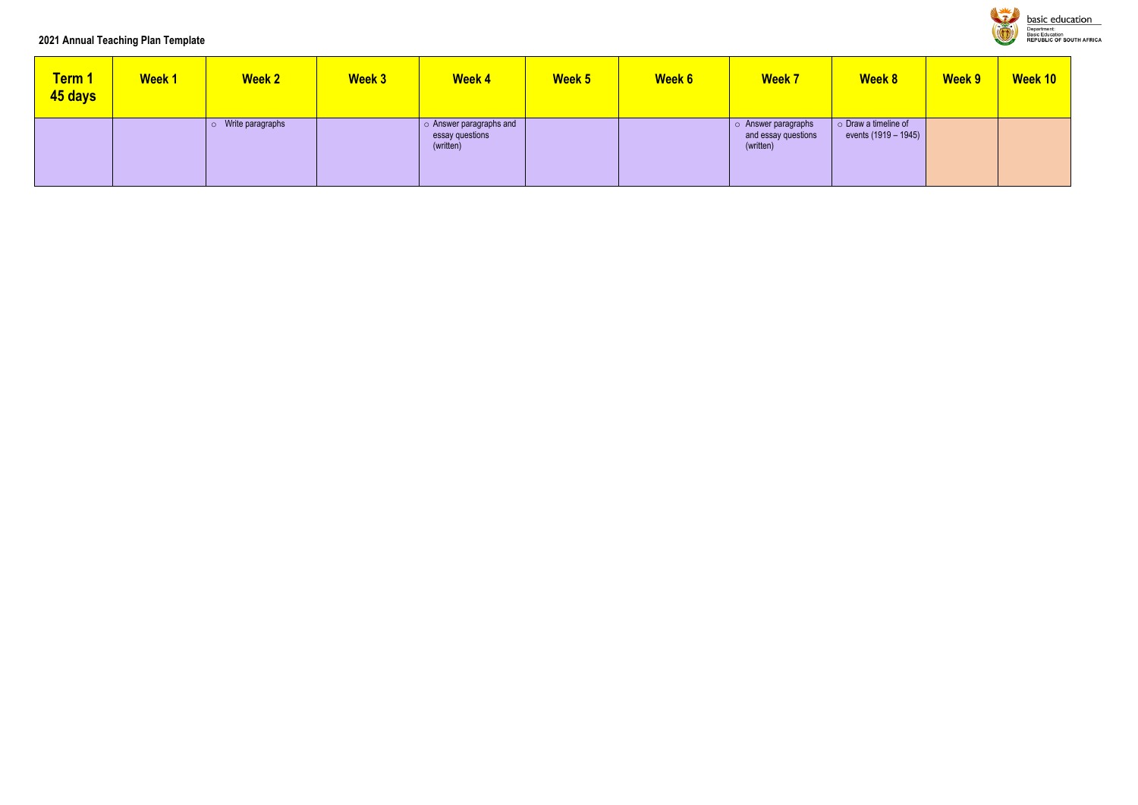### **2021 Annual Teaching Plan Template**

| <b>Term 1</b><br>45 days | <b>Week1</b> | <b>Week 2</b>    | <b>Week 3</b> | <b>Week 4</b>                                                 | <b>Week 5</b> | <b>Week 6</b> | <b>Week 7</b>                                           | <b>Week 8</b>                                        | <b>Week 9</b> | Week 10 |
|--------------------------|--------------|------------------|---------------|---------------------------------------------------------------|---------------|---------------|---------------------------------------------------------|------------------------------------------------------|---------------|---------|
|                          |              | Write paragraphs |               | $\circ$ Answer paragraphs and<br>essay questions<br>(written) |               |               | o Answer paragraphs<br>and essay questions<br>(written) | $\circ$ Draw a timeline of<br>events $(1919 - 1945)$ |               |         |



**basic education** Department:<br>Department:<br>Basic Education<br>REPUBLIC OF SOUTH AFRICA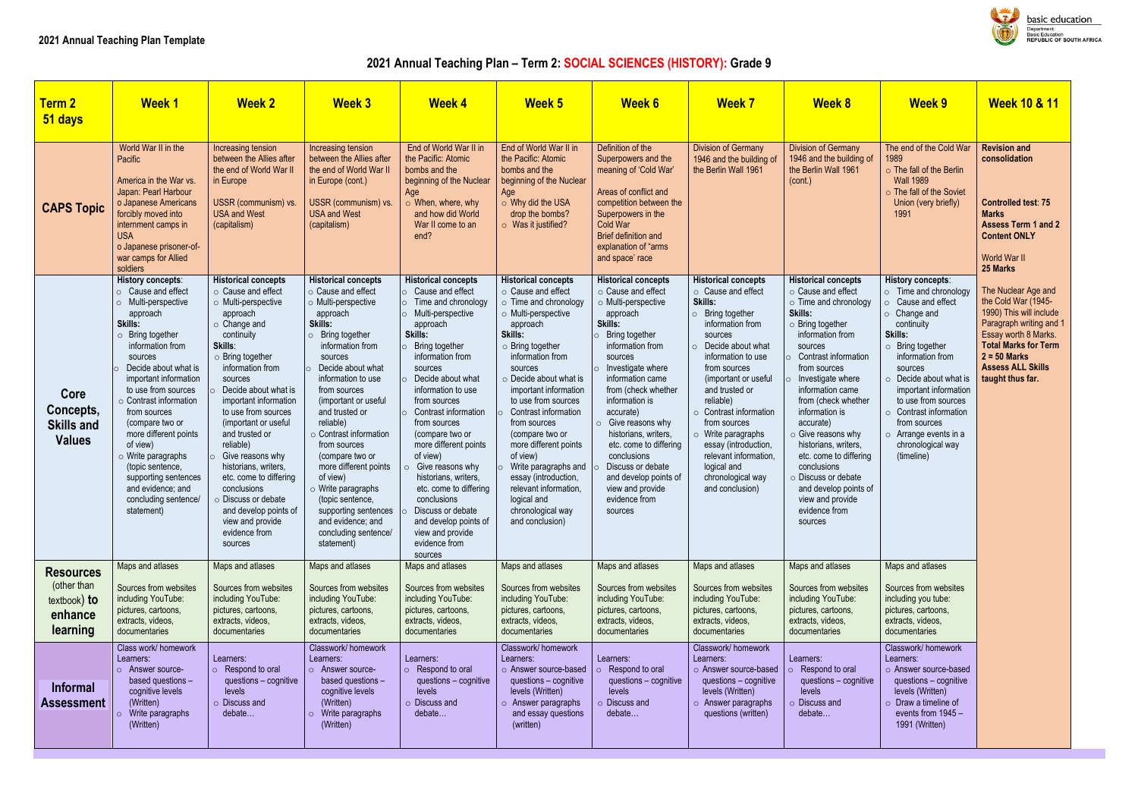# **2021 Annual Teaching Plan – Term 2: SOCIAL SCIENCES (HISTORY): Grade 9**

| <b>Term 2</b><br>51 days                                                 | <b>Week1</b>                                                                                                                                                                                                                                                                                                                                                                                                                                                      | <b>Week 2</b>                                                                                                                                                                                                                                                                                                                                                                                                                                                                                                   | <b>Week 3</b>                                                                                                                                                                                                                                                                                                                                                                                                                                                                                                      | <b>Week 4</b>                                                                                                                                                                                                                                                                                                                                                                                                                                                                                                                               | Week 5                                                                                                                                                                                                                                                                                                                                                                                                                                                                                                 | <b>Week 6</b>                                                                                                                                                                                                                                                                                                                                                                                                                             | <b>Week 7</b>                                                                                                                                                                                                                                                                                                                                                                                                                            | <b>Week 8</b>                                                                                                                                                                                                                                                                                                                                                                                                                                                                     | <b>Week 9</b>                                                                                                                                                                                                                                                                                                                                                          | <b>Week 10 &amp; 11</b>                                                                                                                                                                                                   |
|--------------------------------------------------------------------------|-------------------------------------------------------------------------------------------------------------------------------------------------------------------------------------------------------------------------------------------------------------------------------------------------------------------------------------------------------------------------------------------------------------------------------------------------------------------|-----------------------------------------------------------------------------------------------------------------------------------------------------------------------------------------------------------------------------------------------------------------------------------------------------------------------------------------------------------------------------------------------------------------------------------------------------------------------------------------------------------------|--------------------------------------------------------------------------------------------------------------------------------------------------------------------------------------------------------------------------------------------------------------------------------------------------------------------------------------------------------------------------------------------------------------------------------------------------------------------------------------------------------------------|---------------------------------------------------------------------------------------------------------------------------------------------------------------------------------------------------------------------------------------------------------------------------------------------------------------------------------------------------------------------------------------------------------------------------------------------------------------------------------------------------------------------------------------------|--------------------------------------------------------------------------------------------------------------------------------------------------------------------------------------------------------------------------------------------------------------------------------------------------------------------------------------------------------------------------------------------------------------------------------------------------------------------------------------------------------|-------------------------------------------------------------------------------------------------------------------------------------------------------------------------------------------------------------------------------------------------------------------------------------------------------------------------------------------------------------------------------------------------------------------------------------------|------------------------------------------------------------------------------------------------------------------------------------------------------------------------------------------------------------------------------------------------------------------------------------------------------------------------------------------------------------------------------------------------------------------------------------------|-----------------------------------------------------------------------------------------------------------------------------------------------------------------------------------------------------------------------------------------------------------------------------------------------------------------------------------------------------------------------------------------------------------------------------------------------------------------------------------|------------------------------------------------------------------------------------------------------------------------------------------------------------------------------------------------------------------------------------------------------------------------------------------------------------------------------------------------------------------------|---------------------------------------------------------------------------------------------------------------------------------------------------------------------------------------------------------------------------|
| <b>CAPS Topic</b>                                                        | World War II in the<br>Pacific<br>America in the War vs.<br>Japan: Pearl Harbour<br>o Japanese Americans<br>forcibly moved into<br>internment camps in<br><b>USA</b><br>o Japanese prisoner-of-<br>war camps for Allied<br>soldiers                                                                                                                                                                                                                               | Increasing tension<br>between the Allies after<br>the end of World War II<br>in Europe<br>USSR (communism) vs.<br><b>USA and West</b><br>(capitalism)                                                                                                                                                                                                                                                                                                                                                           | Increasing tension<br>between the Allies after<br>the end of World War II<br>in Europe (cont.)<br>USSR (communism) vs.<br><b>USA and West</b><br>(capitalism)                                                                                                                                                                                                                                                                                                                                                      | End of World War II in<br>the Pacific: Atomic<br>bombs and the<br>beginning of the Nuclear<br>Age<br>$\circ$ When, where, why<br>and how did World<br>War II come to an<br>end?                                                                                                                                                                                                                                                                                                                                                             | End of World War II in<br>the Pacific: Atomic<br>bombs and the<br>beginning of the Nuclear<br>Age<br>o Why did the USA<br>drop the bombs?<br>$\circ$ Was it justified?                                                                                                                                                                                                                                                                                                                                 | Definition of the<br>Superpowers and the<br>meaning of 'Cold War'<br>Areas of conflict and<br>competition between the<br>Superpowers in the<br>Cold War<br>Brief definition and<br>explanation of "arms<br>and space' race                                                                                                                                                                                                                | <b>Division of Germany</b><br>1946 and the building of<br>the Berlin Wall 1961                                                                                                                                                                                                                                                                                                                                                           | <b>Division of Germany</b><br>1946 and the building of<br>the Berlin Wall 1961<br>(cont.)                                                                                                                                                                                                                                                                                                                                                                                         | The end of the Cold War<br>1989<br>$\circ$ The fall of the Berlin<br><b>Wall 1989</b><br>o The fall of the Soviet<br>Union (very briefly)<br>1991                                                                                                                                                                                                                      | <b>Revision and</b><br>consolidation<br><b>Controlled test: 75</b><br><b>Marks</b><br><b>Assess Term 1 and 2</b><br><b>Content ONLY</b><br>World War II<br>25 Marks                                                       |
| Core<br>Concepts,<br><b>Skills and</b><br><b>Values</b>                  | History concepts:<br>$\circ$ Cause and effect<br>o Multi-perspective<br>approach<br>Skills:<br>$\circ$ Bring together<br>information from<br>sources<br>Decide about what is<br>important information<br>to use from sources<br>o Contrast information<br>from sources<br>(compare two or<br>more different points<br>of view)<br>$\circ$ Write paragraphs<br>(topic sentence,<br>supporting sentences<br>and evidence; and<br>concluding sentence/<br>statement) | <b>Historical concepts</b><br>$\circ$ Cause and effect<br>o Multi-perspective<br>approach<br>$\circ$ Change and<br>continuity<br>Skills:<br>o Bring together<br>information from<br>sources<br>Decide about what is<br>important information<br>to use from sources<br>(important or useful<br>and trusted or<br>reliable)<br>Give reasons why<br>historians, writers,<br>etc. come to differing<br>conclusions<br>o Discuss or debate<br>and develop points of<br>view and provide<br>evidence from<br>sources | <b>Historical concepts</b><br>○ Cause and effect<br>$\circ$ Multi-perspective<br>approach<br>Skills:<br>Bring together<br>information from<br>sources<br>Decide about what<br>information to use<br>from sources<br>(important or useful<br>and trusted or<br>reliable)<br>$\circ$ Contrast information<br>from sources<br>(compare two or<br>more different points<br>of view)<br>$\circ$ Write paragraphs<br>(topic sentence,<br>supporting sentences<br>and evidence; and<br>concluding sentence/<br>statement) | <b>Historical concepts</b><br>$\circ$ Cause and effect<br>Time and chronology<br>$\circ$<br>Multi-perspective<br>approach<br>Skills:<br>Bring together<br>information from<br>sources<br>Decide about what<br>information to use<br>from sources<br>Contrast information<br>from sources<br>(compare two or<br>more different points<br>of view)<br>$\circ$ Give reasons why<br>historians, writers,<br>etc. come to differing<br>conclusions<br>Discuss or debate<br>and develop points of<br>view and provide<br>evidence from<br>sources | <b>Historical concepts</b><br>○ Cause and effect<br>$\circ$ Time and chronology<br>o Multi-perspective<br>approach<br>Skills:<br>$\circ$ Bring together<br>information from<br>sources<br>$\circ$ Decide about what is<br>important information<br>to use from sources<br>Contrast information<br>from sources<br>(compare two or<br>more different points<br>of view)<br>Write paragraphs and<br>essay (introduction,<br>relevant information.<br>logical and<br>chronological way<br>and conclusion) | <b>Historical concepts</b><br>○ Cause and effect<br>o Multi-perspective<br>approach<br>Skills:<br>Bring together<br>information from<br>sources<br>Investigate where<br>information came<br>from (check whether<br>information is<br>accurate)<br>$\circ$ Give reasons why<br>historians, writers,<br>etc. come to differing<br>conclusions<br>Discuss or debate<br>and develop points of<br>view and provide<br>evidence from<br>sources | <b>Historical concepts</b><br>$\circ$ Cause and effect<br>Skills:<br>$\circ$ Bring together<br>information from<br>sources<br>$\circ$ Decide about what<br>information to use<br>from sources<br>(important or useful<br>and trusted or<br>reliable)<br>$\circ$ Contrast information<br>from sources<br>$\circ$ Write paragraphs<br>essay (introduction,<br>relevant information,<br>logical and<br>chronological way<br>and conclusion) | <b>Historical concepts</b><br>○ Cause and effect<br>o Time and chronology<br>Skills:<br>$\circ$ Bring together<br>information from<br>sources<br>Contrast information<br>from sources<br>Investigate where<br>information came<br>from (check whether<br>information is<br>accurate)<br>$\circ$ Give reasons why<br>historians, writers,<br>etc. come to differing<br>conclusions<br>o Discuss or debate<br>and develop points of<br>view and provide<br>evidence from<br>sources | <b>History concepts:</b><br>o Time and chronology<br>o Cause and effect<br>o Change and<br>continuity<br><b>Skills:</b><br>o Bring together<br>information from<br>sources<br>$\circ$ Decide about what is<br>important information<br>to use from sources<br>o Contrast information<br>from sources<br>$\circ$ Arrange events in a<br>chronological way<br>(timeline) | The Nuclear Age and<br>the Cold War (1945-<br>1990) This will include<br>Paragraph writing and 1<br>Essay worth 8 Marks.<br><b>Total Marks for Term</b><br>$2 = 50$ Marks<br><b>Assess ALL Skills</b><br>taught thus far. |
| <b>Resources</b><br>(other than<br>$textbook)$ to<br>enhance<br>learning | Maps and atlases<br>Sources from websites<br>including YouTube:<br>pictures, cartoons,<br>extracts, videos,<br>documentaries                                                                                                                                                                                                                                                                                                                                      | Maps and atlases<br>Sources from websites<br>including YouTube:<br>pictures, cartoons,<br>extracts, videos,<br>documentaries                                                                                                                                                                                                                                                                                                                                                                                    | Maps and atlases<br>Sources from websites<br>including YouTube:<br>pictures, cartoons,<br>extracts, videos,<br>documentaries                                                                                                                                                                                                                                                                                                                                                                                       | Maps and atlases<br>Sources from websites<br>including YouTube:<br>pictures, cartoons,<br>extracts, videos,<br>documentaries                                                                                                                                                                                                                                                                                                                                                                                                                | Maps and atlases<br>Sources from websites<br>including YouTube:<br>pictures, cartoons,<br>extracts, videos,<br>documentaries                                                                                                                                                                                                                                                                                                                                                                           | Maps and atlases<br>Sources from websites<br>including YouTube:<br>pictures, cartoons,<br>extracts, videos,<br>documentaries                                                                                                                                                                                                                                                                                                              | Maps and atlases<br>Sources from websites<br>including YouTube:<br>pictures, cartoons,<br>extracts, videos,<br>documentaries                                                                                                                                                                                                                                                                                                             | Maps and atlases<br>Sources from websites<br>including YouTube:<br>pictures, cartoons,<br>extracts, videos,<br>documentaries                                                                                                                                                                                                                                                                                                                                                      | Maps and atlases<br>Sources from websites<br>including you tube:<br>pictures, cartoons,<br>extracts, videos,<br>documentaries                                                                                                                                                                                                                                          |                                                                                                                                                                                                                           |
| <b>Informal</b><br><b>Assessment</b>                                     | Class work/homework<br>Learners:<br>o Answer source-<br>based questions -<br>cognitive levels<br>(Written)<br>$\circ$ Write paragraphs<br>(Written)                                                                                                                                                                                                                                                                                                               | Learners:<br>o Respond to oral<br>questions - cognitive<br>levels<br>o Discuss and<br>debate                                                                                                                                                                                                                                                                                                                                                                                                                    | Classwork/homework<br>Learners:<br>o Answer source-<br>based questions -<br>cognitive levels<br>(Written)<br>Write paragraphs<br>$\circ$<br>(Written)                                                                                                                                                                                                                                                                                                                                                              | Learners:<br>o Respond to oral<br>questions - cognitive<br>levels<br>o Discuss and<br>debate                                                                                                                                                                                                                                                                                                                                                                                                                                                | Classwork/homework<br>Learners:<br>o Answer source-based<br>questions - cognitive<br>levels (Written)<br>$\circ$ Answer paragraphs<br>and essay questions<br>(written)                                                                                                                                                                                                                                                                                                                                 | Learners:<br>Respond to oral<br>questions - cognitive<br>levels<br>o Discuss and<br>debate                                                                                                                                                                                                                                                                                                                                                | Classwork/homework<br>Learners:<br>o Answer source-based<br>questions - cognitive<br>levels (Written)<br>$\circ$ Answer paragraphs<br>questions (written)                                                                                                                                                                                                                                                                                | Learners:<br>$\circ$ Respond to oral<br>questions - cognitive<br>levels<br>$\circ$ Discuss and<br>debate                                                                                                                                                                                                                                                                                                                                                                          | Classwork/homework<br>Learners:<br>o Answer source-based<br>questions - cognitive<br>levels (Written)<br>$\circ$ Draw a timeline of<br>events from 1945 -<br>1991 (Written)                                                                                                                                                                                            |                                                                                                                                                                                                                           |



**Basic education** *S*epartment.<br>Basic Education<br>REPUBLIC OF SOUTH AFRICA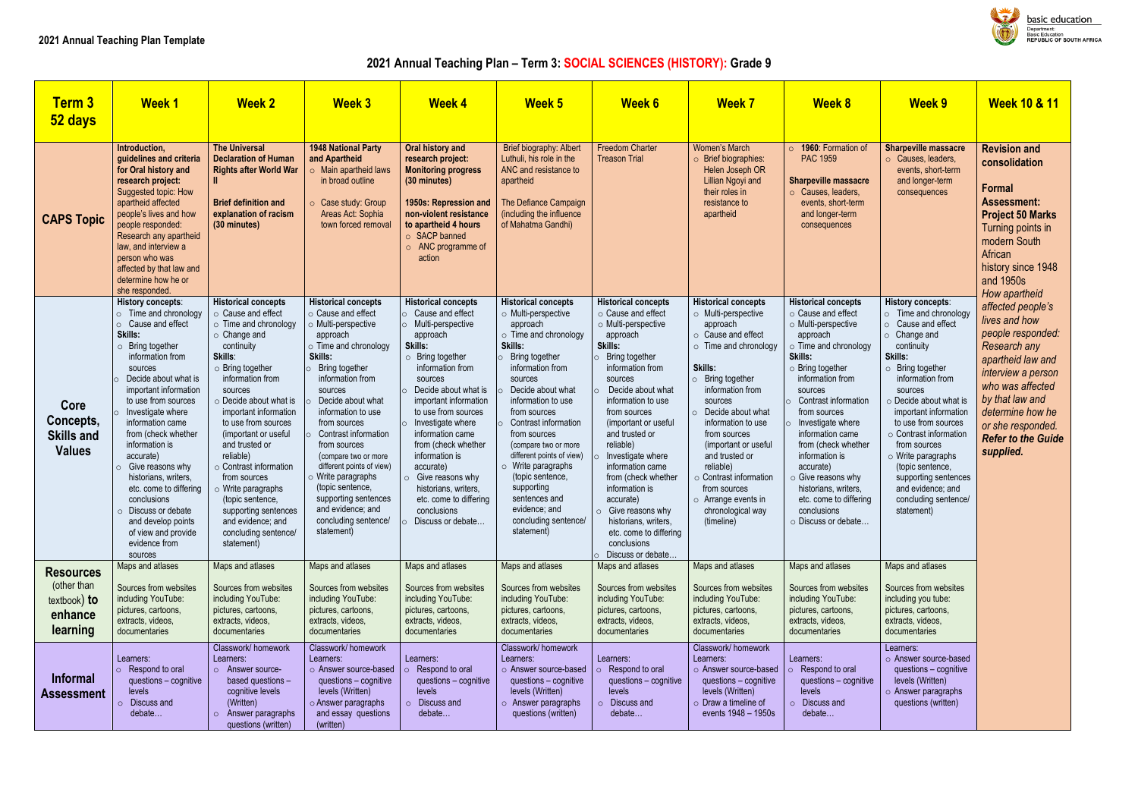# **2021 Annual Teaching Plan – Term 3: SOCIAL SCIENCES (HISTORY): Grade 9**

| <b>Term 3</b><br>52 days                                               | <b>Week1</b>                                                                                                                                                                                                                                                                                                                                                                                                                                                                                                         | <b>Week 2</b>                                                                                                                                                                                                                                                                                                                                                                                                                                                                                                     | <b>Week 3</b>                                                                                                                                                                                                                                                                                                                                                                                                                                                       | <b>Week 4</b>                                                                                                                                                                                                                                                                                                                                                                                                                                     | <b>Week 5</b>                                                                                                                                                                                                                                                                                                                                                                                                                                                | <b>Week 6</b>                                                                                                                                                                                                                                                                                                                                                                                                                                                              | <b>Week 7</b>                                                                                                                                                                                                                                                                                                                                                                                                                       | <b>Week 8</b>                                                                                                                                                                                                                                                                                                                                                                                                                                     | <b>Week 9</b>                                                                                                                                                                                                                                                                                                                                                                                                                               | <b>Week 10 &amp; 11</b>                                                                                                                                                                                                                             |
|------------------------------------------------------------------------|----------------------------------------------------------------------------------------------------------------------------------------------------------------------------------------------------------------------------------------------------------------------------------------------------------------------------------------------------------------------------------------------------------------------------------------------------------------------------------------------------------------------|-------------------------------------------------------------------------------------------------------------------------------------------------------------------------------------------------------------------------------------------------------------------------------------------------------------------------------------------------------------------------------------------------------------------------------------------------------------------------------------------------------------------|---------------------------------------------------------------------------------------------------------------------------------------------------------------------------------------------------------------------------------------------------------------------------------------------------------------------------------------------------------------------------------------------------------------------------------------------------------------------|---------------------------------------------------------------------------------------------------------------------------------------------------------------------------------------------------------------------------------------------------------------------------------------------------------------------------------------------------------------------------------------------------------------------------------------------------|--------------------------------------------------------------------------------------------------------------------------------------------------------------------------------------------------------------------------------------------------------------------------------------------------------------------------------------------------------------------------------------------------------------------------------------------------------------|----------------------------------------------------------------------------------------------------------------------------------------------------------------------------------------------------------------------------------------------------------------------------------------------------------------------------------------------------------------------------------------------------------------------------------------------------------------------------|-------------------------------------------------------------------------------------------------------------------------------------------------------------------------------------------------------------------------------------------------------------------------------------------------------------------------------------------------------------------------------------------------------------------------------------|---------------------------------------------------------------------------------------------------------------------------------------------------------------------------------------------------------------------------------------------------------------------------------------------------------------------------------------------------------------------------------------------------------------------------------------------------|---------------------------------------------------------------------------------------------------------------------------------------------------------------------------------------------------------------------------------------------------------------------------------------------------------------------------------------------------------------------------------------------------------------------------------------------|-----------------------------------------------------------------------------------------------------------------------------------------------------------------------------------------------------------------------------------------------------|
| <b>CAPS Topic</b>                                                      | Introduction,<br>guidelines and criteria<br>for Oral history and<br>research project:<br>Suggested topic: How<br>apartheid affected<br>people's lives and how<br>people responded:<br>Research any apartheid<br>law, and interview a<br>person who was<br>affected by that law and<br>determine how he or<br>she responded.                                                                                                                                                                                          | <b>The Universal</b><br><b>Declaration of Human</b><br><b>Rights after World War</b><br><b>Brief definition and</b><br>explanation of racism<br>(30 minutes)                                                                                                                                                                                                                                                                                                                                                      | <b>1948 National Party</b><br>and Apartheid<br>$\circ$ Main apartheid laws<br>in broad outline<br>○ Case study: Group<br>Areas Act: Sophia<br>town forced removal                                                                                                                                                                                                                                                                                                   | Oral history and<br>research project:<br><b>Monitoring progress</b><br>(30 minutes)<br>1950s: Repression and<br>non-violent resistance<br>to apartheid 4 hours<br>○ SACP banned<br>$\circ$ ANC programme of<br>action                                                                                                                                                                                                                             | Brief biography: Albert<br>Luthuli, his role in the<br>ANC and resistance to<br>apartheid<br>The Defiance Campaign<br>(including the influence<br>of Mahatma Gandhi)                                                                                                                                                                                                                                                                                         | <b>Freedom Charter</b><br><b>Treason Trial</b>                                                                                                                                                                                                                                                                                                                                                                                                                             | <b>Women's March</b><br>$\circ$ Brief biographies:<br>Helen Joseph OR<br>Lillian Ngoyi and<br>their roles in<br>resistance to<br>apartheid                                                                                                                                                                                                                                                                                          | 1960: Formation of<br>$\circ$<br><b>PAC 1959</b><br><b>Sharpeville massacre</b><br>o Causes, leaders,<br>events, short-term<br>and longer-term<br>consequences                                                                                                                                                                                                                                                                                    | <b>Sharpeville massacre</b><br>○ Causes, leaders,<br>events, short-term<br>and longer-term<br>consequences                                                                                                                                                                                                                                                                                                                                  | <b>Revision and</b><br>consolidation<br><b>Formal</b><br><b>Assessment:</b><br><b>Project 50 Marks</b><br>Turning points in<br>modern South<br>African<br>history since 1948<br>and 1950s<br>How apartheid                                          |
| Core<br>Concepts,<br><b>Skills and</b><br><b>Values</b>                | History concepts:<br>$\circ$ Time and chronology<br>o Cause and effect<br>Skills:<br>$\circ$ Bring together<br>information from<br>sources<br>Decide about what is<br>important information<br>to use from sources<br>Investigate where<br>information came<br>from (check whether<br>information is<br>accurate)<br>$\circ$ Give reasons why<br>historians, writers,<br>etc. come to differing<br>conclusions<br>$\circ$ Discuss or debate<br>and develop points<br>of view and provide<br>evidence from<br>sources | <b>Historical concepts</b><br>○ Cause and effect<br>$\circ$ Time and chronology<br>$\circ$ Change and<br>continuity<br>Skills:<br>$\circ$ Bring together<br>information from<br>sources<br>$\circ$ Decide about what is<br>important information<br>to use from sources<br>(important or useful<br>and trusted or<br>reliable)<br>$\circ$ Contrast information<br>from sources<br>$\circ$ Write paragraphs<br>(topic sentence,<br>supporting sentences<br>and evidence; and<br>concluding sentence/<br>statement) | <b>Historical concepts</b><br>○ Cause and effect<br>o Multi-perspective<br>approach<br>$\circ$ Time and chronology<br>Skills:<br>Bring together<br>information from<br>sources<br>Decide about what<br>information to use<br>from sources<br>Contrast information<br>from sources<br>(compare two or more<br>different points of view)<br>o Write paragraphs<br>(topic sentence,<br>supporting sentences<br>and evidence; and<br>concluding sentence/<br>statement) | <b>Historical concepts</b><br>Cause and effect<br>o Multi-perspective<br>approach<br>Skills:<br>Bring together<br>$\circ$<br>information from<br>sources<br>Decide about what is<br>important information<br>to use from sources<br>Investigate where<br>information came<br>from (check whether<br>information is<br>accurate)<br>$\circ$ Give reasons why<br>historians, writers,<br>etc. come to differing<br>conclusions<br>Discuss or debate | <b>Historical concepts</b><br>$\circ$ Multi-perspective<br>approach<br>$\circ$ Time and chronology<br>Skills:<br>Bring together<br>information from<br>sources<br>Decide about what<br>information to use<br>from sources<br>Contrast information<br>from sources<br>(compare two or more<br>different points of view)<br>$\circ$ Write paragraphs<br>(topic sentence,<br>supporting<br>sentences and<br>evidence; and<br>concluding sentence/<br>statement) | <b>Historical concepts</b><br>o Cause and effect<br>o Multi-perspective<br>approach<br>Skills:<br>Bring together<br>information from<br>sources<br>Decide about what<br>information to use<br>from sources<br>(important or useful<br>and trusted or<br>reliable)<br>Investigate where<br>information came<br>from (check whether<br>information is<br>accurate)<br>Give reasons why<br>historians, writers,<br>etc. come to differing<br>conclusions<br>Discuss or debate | <b>Historical concepts</b><br>o Multi-perspective<br>approach<br>○ Cause and effect<br>$\circ$ Time and chronology<br>Skills:<br>$\circ$ Bring together<br>information from<br>sources<br>Decide about what<br>$\circ$<br>information to use<br>from sources<br>(important or useful<br>and trusted or<br>reliable)<br>$\circ$ Contrast information<br>from sources<br>$\circ$ Arrange events in<br>chronological way<br>(timeline) | <b>Historical concepts</b><br>o Cause and effect<br>o Multi-perspective<br>approach<br>$\circ$ Time and chronology<br>Skills:<br>$\circ$ Bring together<br>information from<br>sources<br>Contrast information<br>from sources<br>Investigate where<br>information came<br>from (check whether<br>information is<br>accurate)<br>$\circ$ Give reasons why<br>historians, writers,<br>etc. come to differing<br>conclusions<br>o Discuss or debate | History concepts:<br>$\circ$ Time and chronology<br>o Cause and effect<br>$\circ$ Change and<br>continuity<br>Skills:<br>$\circ$ Bring together<br>information from<br>sources<br>$\circ$ Decide about what is<br>important information<br>to use from sources<br>$\circ$ Contrast information<br>from sources<br>o Write paragraphs<br>(topic sentence,<br>supporting sentences<br>and evidence; and<br>concluding sentence/<br>statement) | affected people's<br>lives and how<br>people responded:<br><b>Research any</b><br>apartheid law and<br>interview a person<br>who was affected<br>by that law and<br>determine how he<br>or she responded.<br><b>Refer to the Guide</b><br>supplied. |
| <b>Resources</b><br>(other than<br>textbook) to<br>enhance<br>learning | Maps and atlases<br>Sources from websites<br>including YouTube:<br>pictures, cartoons,<br>extracts, videos,<br>documentaries                                                                                                                                                                                                                                                                                                                                                                                         | Maps and atlases<br>Sources from websites<br>including YouTube:<br>pictures, cartoons,<br>extracts, videos,<br>documentaries                                                                                                                                                                                                                                                                                                                                                                                      | Maps and atlases<br>Sources from websites<br>including YouTube:<br>pictures, cartoons,<br>extracts, videos,<br>documentaries                                                                                                                                                                                                                                                                                                                                        | Maps and atlases<br>Sources from websites<br>including YouTube:<br>pictures, cartoons,<br>extracts, videos,<br>documentaries                                                                                                                                                                                                                                                                                                                      | Maps and atlases<br>Sources from websites<br>including YouTube:<br>pictures, cartoons,<br>extracts, videos,<br>documentaries                                                                                                                                                                                                                                                                                                                                 | Maps and atlases<br>Sources from websites<br>including YouTube:<br>pictures, cartoons,<br>extracts, videos,<br>documentaries                                                                                                                                                                                                                                                                                                                                               | Maps and atlases<br>Sources from websites<br>including YouTube:<br>pictures, cartoons,<br>extracts, videos,<br>documentaries                                                                                                                                                                                                                                                                                                        | Maps and atlases<br>Sources from websites<br>including YouTube:<br>pictures, cartoons,<br>extracts, videos,<br>documentaries                                                                                                                                                                                                                                                                                                                      | Maps and atlases<br>Sources from websites<br>including you tube:<br>pictures, cartoons,<br>extracts, videos,<br>documentaries                                                                                                                                                                                                                                                                                                               |                                                                                                                                                                                                                                                     |
| <b>Informal</b><br><b>Assessment</b>                                   | Learners:<br>$\circ$ Respond to oral<br>questions - cognitive<br>levels<br>Discuss and<br>$\circ$<br>debate                                                                                                                                                                                                                                                                                                                                                                                                          | Classwork/homework<br>Learners:<br>o Answer source-<br>based questions -<br>cognitive levels<br>(Written)<br>$\circ$ Answer paragraphs<br>questions (written)                                                                                                                                                                                                                                                                                                                                                     | Classwork/homework<br>Learners:<br>o Answer source-based<br>questions - cognitive<br>levels (Written)<br>o Answer paragraphs<br>and essay questions<br>(written)                                                                                                                                                                                                                                                                                                    | Learners:<br>Respond to oral<br>questions - cognitive<br>levels<br>O Discuss and<br>debate                                                                                                                                                                                                                                                                                                                                                        | Classwork/homework<br>Learners:<br>o Answer source-based<br>questions - cognitive<br>levels (Written)<br>$\circ$ Answer paragraphs<br>questions (written)                                                                                                                                                                                                                                                                                                    | Learners:<br>Respond to oral<br>questions - cognitive<br>levels<br>o Discuss and<br>debate                                                                                                                                                                                                                                                                                                                                                                                 | Classwork/homework<br>Learners:<br>o Answer source-based<br>questions - cognitive<br>levels (Written)<br>$\circ$ Draw a timeline of<br>events 1948 - 1950s                                                                                                                                                                                                                                                                          | Learners:<br>Respond to oral<br>questions - cognitive<br>levels<br>Discuss and<br>debate                                                                                                                                                                                                                                                                                                                                                          | Learners:<br>o Answer source-based<br>questions - cognitive<br>levels (Written)<br>o Answer paragraphs<br>questions (written)                                                                                                                                                                                                                                                                                                               |                                                                                                                                                                                                                                                     |



**Dasic education** Department:<br>Department:<br>Basic Education<br>REPUBLIC OF SOUTH AFRICA